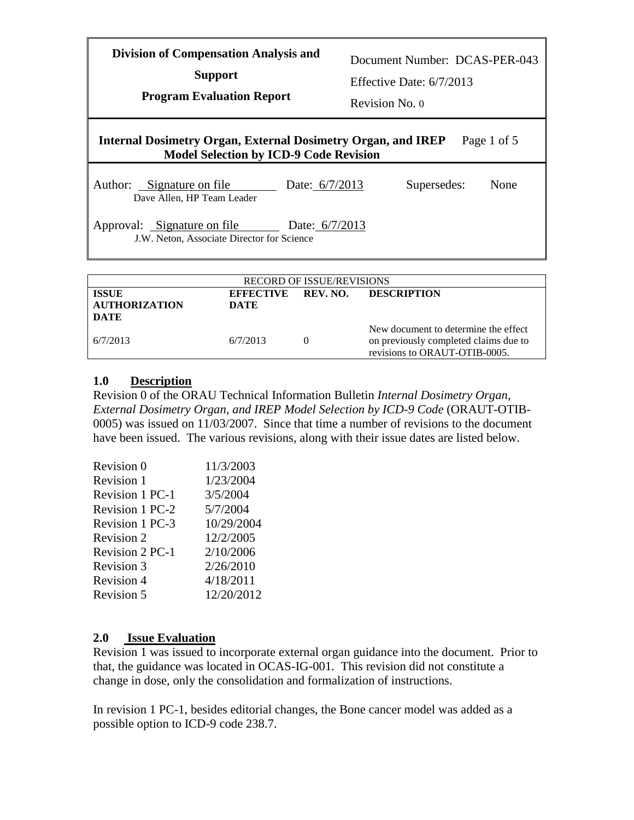Document Number: DCAS-PER-043

**Support**

Effective Date: 6/7/2013

**Program Evaluation Report**

Revision No. 0

### **Internal Dosimetry Organ, External Dosimetry Organ, and IREP Model Selection by ICD-9 Code Revision** Page 1 of 5 Author: Signature on file Date: 6/7/2013 Dave Allen, HP Team Leader Supersedes: None

Approval: Signature on file Date: 6/7/2013 J.W. Neton, Associate Director for Science

| <b>RECORD OF ISSUE/REVISIONS</b>                    |                                 |  |                                                                                                                |  |
|-----------------------------------------------------|---------------------------------|--|----------------------------------------------------------------------------------------------------------------|--|
| <b>ISSUE</b><br><b>AUTHORIZATION</b><br><b>DATE</b> | <b>EFFECTIVE</b><br><b>DATE</b> |  | REV. NO. DESCRIPTION                                                                                           |  |
| 6/7/2013                                            | 6/7/2013                        |  | New document to determine the effect<br>on previously completed claims due to<br>revisions to ORAUT-OTIB-0005. |  |

### **1.0 Description**

Revision 0 of the ORAU Technical Information Bulletin *Internal Dosimetry Organ, External Dosimetry Organ, and IREP Model Selection by ICD-9 Code* (ORAUT-OTIB-0005) was issued on 11/03/2007. Since that time a number of revisions to the document have been issued. The various revisions, along with their issue dates are listed below.

| Revision 0        | 11/3/2003  |
|-------------------|------------|
| Revision 1        | 1/23/2004  |
| Revision 1 PC-1   | 3/5/2004   |
| Revision 1 PC-2   | 5/7/2004   |
| Revision 1 PC-3   | 10/29/2004 |
| Revision 2        | 12/2/2005  |
| Revision 2 PC-1   | 2/10/2006  |
| <b>Revision 3</b> | 2/26/2010  |
| <b>Revision 4</b> | 4/18/2011  |
| <b>Revision 5</b> | 12/20/2012 |
|                   |            |

# **2.0 Issue Evaluation**

Revision 1 was issued to incorporate external organ guidance into the document. Prior to that, the guidance was located in OCAS-IG-001. This revision did not constitute a change in dose, only the consolidation and formalization of instructions.

In revision 1 PC-1, besides editorial changes, the Bone cancer model was added as a possible option to ICD-9 code 238.7.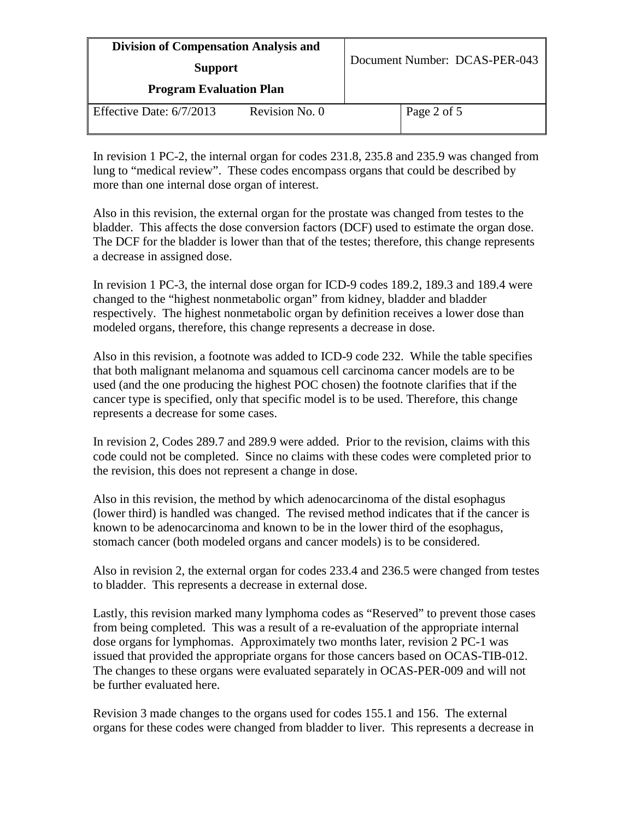| <b>Division of Compensation Analysis and</b><br><b>Support</b><br><b>Program Evaluation Plan</b> |  | Document Number: DCAS-PER-043 |  |
|--------------------------------------------------------------------------------------------------|--|-------------------------------|--|
|                                                                                                  |  |                               |  |

In revision 1 PC-2, the internal organ for codes 231.8, 235.8 and 235.9 was changed from lung to "medical review". These codes encompass organs that could be described by more than one internal dose organ of interest.

Also in this revision, the external organ for the prostate was changed from testes to the bladder. This affects the dose conversion factors (DCF) used to estimate the organ dose. The DCF for the bladder is lower than that of the testes; therefore, this change represents a decrease in assigned dose.

In revision 1 PC-3, the internal dose organ for ICD-9 codes 189.2, 189.3 and 189.4 were changed to the "highest nonmetabolic organ" from kidney, bladder and bladder respectively. The highest nonmetabolic organ by definition receives a lower dose than modeled organs, therefore, this change represents a decrease in dose.

Also in this revision, a footnote was added to ICD-9 code 232. While the table specifies that both malignant melanoma and squamous cell carcinoma cancer models are to be used (and the one producing the highest POC chosen) the footnote clarifies that if the cancer type is specified, only that specific model is to be used. Therefore, this change represents a decrease for some cases.

In revision 2, Codes 289.7 and 289.9 were added. Prior to the revision, claims with this code could not be completed. Since no claims with these codes were completed prior to the revision, this does not represent a change in dose.

Also in this revision, the method by which adenocarcinoma of the distal esophagus (lower third) is handled was changed. The revised method indicates that if the cancer is known to be adenocarcinoma and known to be in the lower third of the esophagus, stomach cancer (both modeled organs and cancer models) is to be considered.

Also in revision 2, the external organ for codes 233.4 and 236.5 were changed from testes to bladder. This represents a decrease in external dose.

Lastly, this revision marked many lymphoma codes as "Reserved" to prevent those cases from being completed. This was a result of a re-evaluation of the appropriate internal dose organs for lymphomas. Approximately two months later, revision 2 PC-1 was issued that provided the appropriate organs for those cancers based on OCAS-TIB-012. The changes to these organs were evaluated separately in OCAS-PER-009 and will not be further evaluated here.

Revision 3 made changes to the organs used for codes 155.1 and 156. The external organs for these codes were changed from bladder to liver. This represents a decrease in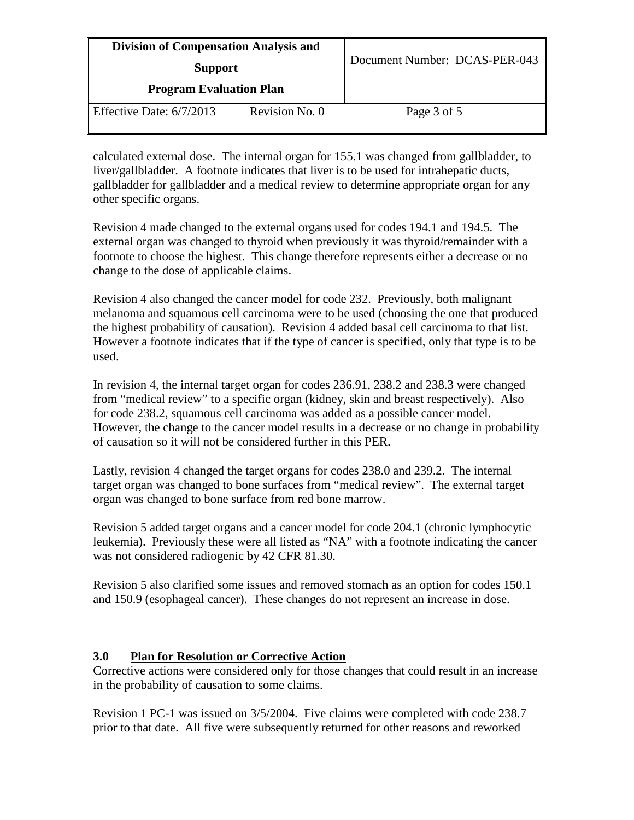| <b>Division of Compensation Analysis and</b><br><b>Support</b> |                | Document Number: DCAS-PER-043 |             |
|----------------------------------------------------------------|----------------|-------------------------------|-------------|
|                                                                |                |                               |             |
| Effective Date: $6/7/2013$                                     | Revision No. 0 |                               | Page 3 of 5 |

calculated external dose. The internal organ for 155.1 was changed from gallbladder, to liver/gallbladder. A footnote indicates that liver is to be used for intrahepatic ducts, gallbladder for gallbladder and a medical review to determine appropriate organ for any other specific organs.

Revision 4 made changed to the external organs used for codes 194.1 and 194.5. The external organ was changed to thyroid when previously it was thyroid/remainder with a footnote to choose the highest. This change therefore represents either a decrease or no change to the dose of applicable claims.

Revision 4 also changed the cancer model for code 232. Previously, both malignant melanoma and squamous cell carcinoma were to be used (choosing the one that produced the highest probability of causation). Revision 4 added basal cell carcinoma to that list. However a footnote indicates that if the type of cancer is specified, only that type is to be used.

In revision 4, the internal target organ for codes 236.91, 238.2 and 238.3 were changed from "medical review" to a specific organ (kidney, skin and breast respectively). Also for code 238.2, squamous cell carcinoma was added as a possible cancer model. However, the change to the cancer model results in a decrease or no change in probability of causation so it will not be considered further in this PER.

Lastly, revision 4 changed the target organs for codes 238.0 and 239.2. The internal target organ was changed to bone surfaces from "medical review". The external target organ was changed to bone surface from red bone marrow.

Revision 5 added target organs and a cancer model for code 204.1 (chronic lymphocytic leukemia). Previously these were all listed as "NA" with a footnote indicating the cancer was not considered radiogenic by 42 CFR 81.30.

Revision 5 also clarified some issues and removed stomach as an option for codes 150.1 and 150.9 (esophageal cancer). These changes do not represent an increase in dose.

# **3.0 Plan for Resolution or Corrective Action**

Corrective actions were considered only for those changes that could result in an increase in the probability of causation to some claims.

Revision 1 PC-1 was issued on 3/5/2004. Five claims were completed with code 238.7 prior to that date. All five were subsequently returned for other reasons and reworked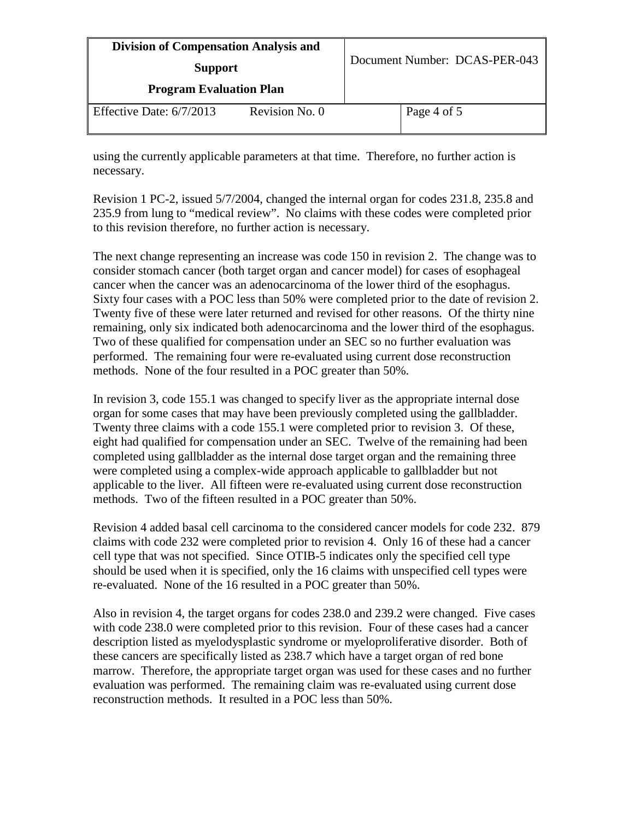| <b>Division of Compensation Analysis and</b><br><b>Support</b> |                | Document Number: DCAS-PER-043 |             |
|----------------------------------------------------------------|----------------|-------------------------------|-------------|
|                                                                |                |                               |             |
| Effective Date: $6/7/2013$                                     | Revision No. 0 |                               | Page 4 of 5 |

using the currently applicable parameters at that time. Therefore, no further action is necessary.

Revision 1 PC-2, issued 5/7/2004, changed the internal organ for codes 231.8, 235.8 and 235.9 from lung to "medical review". No claims with these codes were completed prior to this revision therefore, no further action is necessary.

The next change representing an increase was code 150 in revision 2. The change was to consider stomach cancer (both target organ and cancer model) for cases of esophageal cancer when the cancer was an adenocarcinoma of the lower third of the esophagus. Sixty four cases with a POC less than 50% were completed prior to the date of revision 2. Twenty five of these were later returned and revised for other reasons. Of the thirty nine remaining, only six indicated both adenocarcinoma and the lower third of the esophagus. Two of these qualified for compensation under an SEC so no further evaluation was performed. The remaining four were re-evaluated using current dose reconstruction methods. None of the four resulted in a POC greater than 50%.

In revision 3, code 155.1 was changed to specify liver as the appropriate internal dose organ for some cases that may have been previously completed using the gallbladder. Twenty three claims with a code 155.1 were completed prior to revision 3. Of these, eight had qualified for compensation under an SEC. Twelve of the remaining had been completed using gallbladder as the internal dose target organ and the remaining three were completed using a complex-wide approach applicable to gallbladder but not applicable to the liver. All fifteen were re-evaluated using current dose reconstruction methods. Two of the fifteen resulted in a POC greater than 50%.

Revision 4 added basal cell carcinoma to the considered cancer models for code 232. 879 claims with code 232 were completed prior to revision 4. Only 16 of these had a cancer cell type that was not specified. Since OTIB-5 indicates only the specified cell type should be used when it is specified, only the 16 claims with unspecified cell types were re-evaluated. None of the 16 resulted in a POC greater than 50%.

Also in revision 4, the target organs for codes 238.0 and 239.2 were changed. Five cases with code 238.0 were completed prior to this revision. Four of these cases had a cancer description listed as myelodysplastic syndrome or myeloproliferative disorder. Both of these cancers are specifically listed as 238.7 which have a target organ of red bone marrow. Therefore, the appropriate target organ was used for these cases and no further evaluation was performed. The remaining claim was re-evaluated using current dose reconstruction methods. It resulted in a POC less than 50%.